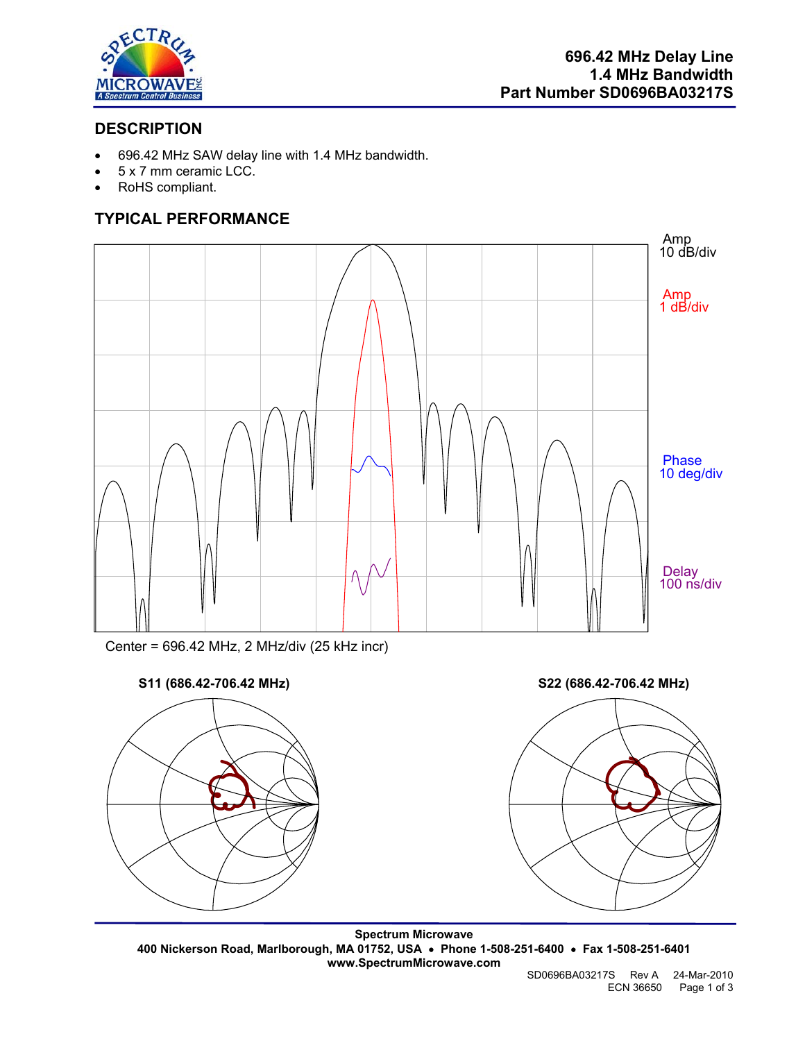

## **DESCRIPTION**

- 696.42 MHz SAW delay line with 1.4 MHz bandwidth.
- 5 x 7 mm ceramic LCC.
- RoHS compliant.

# **TYPICAL PERFORMANCE**



Center = 696.42 MHz, 2 MHz/div (25 kHz incr)





**Spectrum Microwave 400 Nickerson Road, Marlborough, MA 01752, USA** • **Phone 1-508-251-6400** • **Fax 1-508-251-6401 www.SpectrumMicrowave.com** 

SD0696BA03217S Rev A 24-Mar-2010 ECN 36650 Page 1 of 3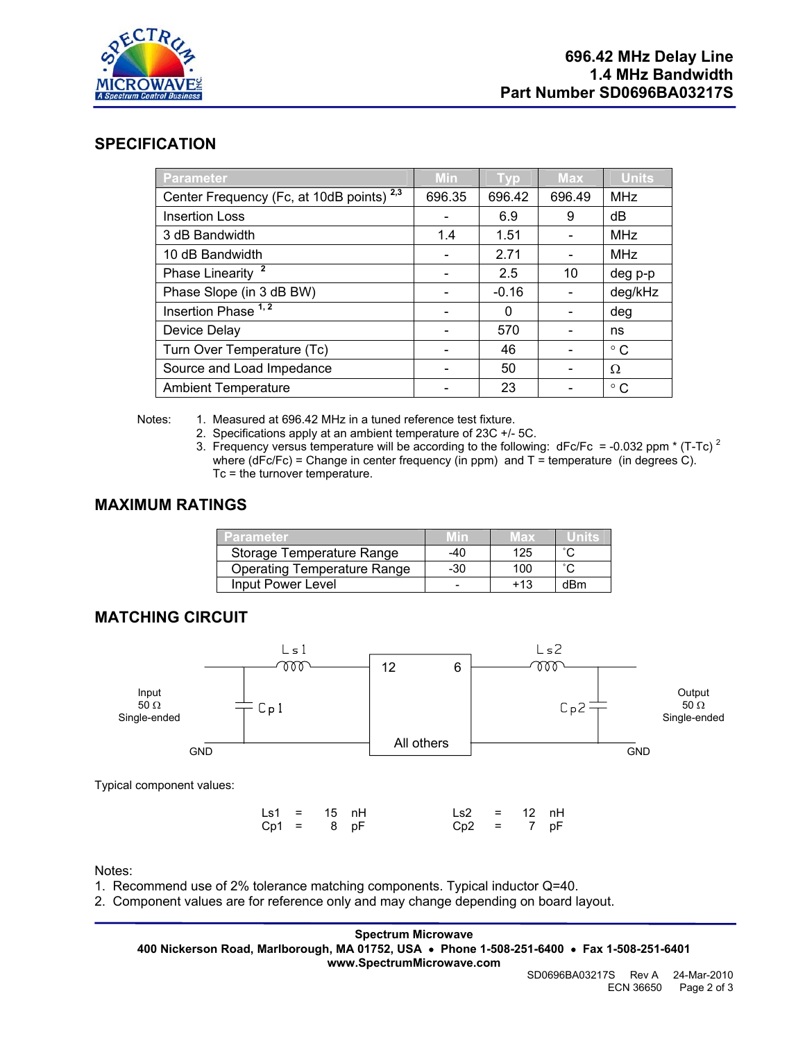

### **SPECIFICATION**

| Parameter                                            | Min    | Typ     | Max    | <b>Units</b> |
|------------------------------------------------------|--------|---------|--------|--------------|
| Center Frequency (Fc, at 10dB points) <sup>2,3</sup> | 696.35 | 696.42  | 696.49 | <b>MHz</b>   |
| <b>Insertion Loss</b>                                |        | 6.9     | 9      | dB           |
| 3 dB Bandwidth                                       | 1.4    | 1.51    |        | <b>MHz</b>   |
| 10 dB Bandwidth                                      |        | 2.71    |        | <b>MHz</b>   |
| Phase Linearity <sup>2</sup>                         |        | 2.5     | 10     | deg p-p      |
| Phase Slope (in 3 dB BW)                             |        | $-0.16$ |        | deg/kHz      |
| Insertion Phase <sup>1,2</sup>                       |        | 0       |        | deg          |
| Device Delay                                         |        | 570     |        | ns           |
| Turn Over Temperature (Tc)                           |        | 46      |        | $^{\circ}$ C |
| Source and Load Impedance                            |        | 50      |        | Ω            |
| <b>Ambient Temperature</b>                           |        | 23      |        | $^{\circ}$ C |

Notes: 1. Measured at 696.42 MHz in a tuned reference test fixture.

- 2. Specifications apply at an ambient temperature of 23C +/- 5C.
- 3. Frequency versus temperature will be according to the following:  $dFc/Fc = -0.032$  ppm  $*(T-TC)^2$ where (dFc/Fc) = Change in center frequency (in ppm) and  $T =$  temperature (in degrees C). Tc = the turnover temperature.

### **MAXIMUM RATINGS**

| 'arameter                          | <b>MID</b> | Max | <b>TIME</b> |
|------------------------------------|------------|-----|-------------|
| Storage Temperature Range          | -40        | 125 | $\sim$      |
| <b>Operating Temperature Range</b> | -30        | 100 | $\sim$      |
| Input Power Level                  |            | +13 | dRm         |

## **MATCHING CIRCUIT**



|  | $\text{Ls1} = 15 \text{ nH}$ | Ls2 = 12 nH  |  |  |
|--|------------------------------|--------------|--|--|
|  | $Cp1 = 8 pF$                 | $Cp2 = 7 pF$ |  |  |

Notes:

- 1. Recommend use of 2% tolerance matching components. Typical inductor Q=40.
- 2. Component values are for reference only and may change depending on board layout.